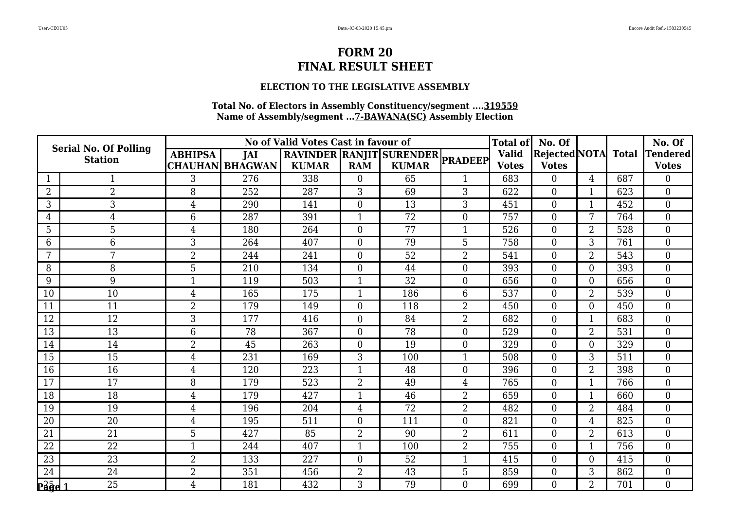### **ELECTION TO THE LEGISLATIVE ASSEMBLY**

|                                                            | <b>Serial No. Of Polling</b> |                 |                        | No of Valid Votes Cast in favour of |                  |                                  |                  | <b>Total of</b> | No. Of               |                |              | No. Of           |
|------------------------------------------------------------|------------------------------|-----------------|------------------------|-------------------------------------|------------------|----------------------------------|------------------|-----------------|----------------------|----------------|--------------|------------------|
|                                                            | <b>Station</b>               | <b>ABHIPSA</b>  | JAI                    |                                     |                  | RAVINDER RANJIT SURENDER PRADEEP |                  | <b>Valid</b>    | <b>Rejected</b> NOTA |                | <b>Total</b> | <b>Tendered</b>  |
|                                                            |                              |                 | <b>CHAUHAN BHAGWAN</b> | <b>KUMAR</b>                        | <b>RAM</b>       | <b>KUMAR</b>                     |                  | <b>Votes</b>    | <b>Votes</b>         |                |              | <b>Votes</b>     |
|                                                            |                              | 3               | 276                    | 338                                 | $\theta$         | 65                               |                  | 683             | $\Omega$             | 4              | 687          | $\Omega$         |
| $\overline{2}$                                             | $\overline{2}$               | 8               | 252                    | 287                                 | 3                | 69                               | 3                | 622             | $\overline{0}$       |                | 623          | $\boldsymbol{0}$ |
| 3                                                          | 3                            | 4               | 290                    | 141                                 | $\overline{0}$   | 13                               | 3                | 451             | $\Omega$             | $\mathbf 1$    | 452          | $\overline{0}$   |
| $\overline{4}$                                             | 4                            | $6\phantom{1}6$ | 287                    | 391                                 | -1               | 72                               | $\boldsymbol{0}$ | 757             | $\overline{0}$       | 7              | 764          | $\overline{0}$   |
| 5                                                          | 5                            | $\overline{4}$  | 180                    | 264                                 | $\boldsymbol{0}$ | 77                               | 1                | 526             | $\overline{0}$       | $\overline{2}$ | 528          | $\overline{0}$   |
| 6                                                          | 6                            | 3               | 264                    | 407                                 | $\overline{0}$   | 79                               | 5                | 758             | $\overline{0}$       | 3              | 761          | $\Omega$         |
| 7                                                          | 7                            | $\overline{2}$  | 244                    | 241                                 | $\overline{0}$   | 52                               | $\overline{2}$   | 541             | $\Omega$             | $\overline{2}$ | 543          | $\theta$         |
| 8                                                          | 8                            | 5               | 210                    | 134                                 | $\boldsymbol{0}$ | 44                               | $\boldsymbol{0}$ | 393             | $\overline{0}$       | $\overline{0}$ | 393          | $\mathbf{0}$     |
| 9                                                          | 9                            | $\mathbf{1}$    | 119                    | 503                                 | $\mathbf{1}$     | $\overline{32}$                  | $\overline{0}$   | 656             | $\overline{0}$       | $\overline{0}$ | 656          | $\overline{0}$   |
| 10                                                         | 10                           | $\overline{4}$  | 165                    | 175                                 | $\mathbf 1$      | 186                              | 6                | 537             | $\Omega$             | $\overline{2}$ | 539          | $\overline{0}$   |
| 11                                                         | 11                           | $\overline{2}$  | 179                    | 149                                 | $\boldsymbol{0}$ | 118                              | $\overline{2}$   | 450             | $\Omega$             | $\overline{0}$ | 450          | $\mathbf{0}$     |
| 12                                                         | 12                           | 3               | 177                    | 416                                 | $\overline{0}$   | 84                               | $\overline{2}$   | 682             | $\overline{0}$       | $\mathbf{1}$   | 683          | $\overline{0}$   |
| 13                                                         | 13                           | 6               | 78                     | 367                                 | $\overline{0}$   | 78                               | $\mathbf{0}$     | 529             | $\overline{0}$       | $\overline{2}$ | 531          | $\boldsymbol{0}$ |
| 14                                                         | 14                           | $\overline{2}$  | 45                     | 263                                 | $\overline{0}$   | 19                               | $\overline{0}$   | 329             | $\overline{0}$       | $\overline{0}$ | 329          | $\theta$         |
| 15                                                         | 15                           | $\overline{4}$  | 231                    | 169                                 | 3                | 100                              | 1                | 508             | $\overline{0}$       | 3              | 511          | $\overline{0}$   |
| 16                                                         | 16                           | 4               | 120                    | 223                                 | $\mathbf 1$      | 48                               | $\overline{0}$   | 396             | $\Omega$             | $\overline{2}$ | 398          | $\overline{0}$   |
| 17                                                         | 17                           | 8               | 179                    | 523                                 | $\overline{2}$   | 49                               | $\overline{4}$   | 765             | $\overline{0}$       | $\mathbf{1}$   | 766          | $\theta$         |
| 18                                                         | 18                           | $\overline{4}$  | 179                    | 427                                 | -1               | 46                               | $\overline{2}$   | 659             | $\overline{0}$       | $\mathbf 1$    | 660          | $\overline{0}$   |
| 19                                                         | 19                           | $\overline{4}$  | 196                    | 204                                 | $\overline{4}$   | 72                               | $\overline{2}$   | 482             | $\Omega$             | $\overline{2}$ | 484          | $\overline{0}$   |
| 20                                                         | 20                           | $\overline{4}$  | 195                    | 511                                 | $\theta$         | 111                              | $\overline{0}$   | 821             | $\Omega$             | $\overline{4}$ | 825          | $\theta$         |
| 21                                                         | 21                           | 5               | 427                    | 85                                  | $\overline{2}$   | 90                               | $\overline{2}$   | 611             | $\overline{0}$       | $\overline{2}$ | 613          | $\overline{0}$   |
| 22                                                         | 22                           | $\mathbf{1}$    | 244                    | 407                                 | $\mathbf{1}$     | 100                              | $\overline{2}$   | 755             | $\overline{0}$       | $\mathbf{1}$   | 756          | $\boldsymbol{0}$ |
| 23                                                         | 23                           | $\overline{2}$  | 133                    | 227                                 | $\Omega$         | 52                               | $\mathbf{1}$     | 415             | $\overline{0}$       | $\Omega$       | 415          | $\theta$         |
| 24                                                         | 24                           | $\overline{2}$  | 351                    | 456                                 | $\overline{2}$   | 43                               | 5                | 859             | $\overline{0}$       | 3              | 862          | $\overline{0}$   |
| $\overline{\mathbf{P}^2 \mathbf{\overline{Q}} \mathbf{d}}$ | $\overline{25}$              | $\overline{4}$  | 181                    | 432                                 | 3                | 79                               | $\overline{0}$   | 699             | $\overline{0}$       | $\overline{2}$ | 701          | $\overline{0}$   |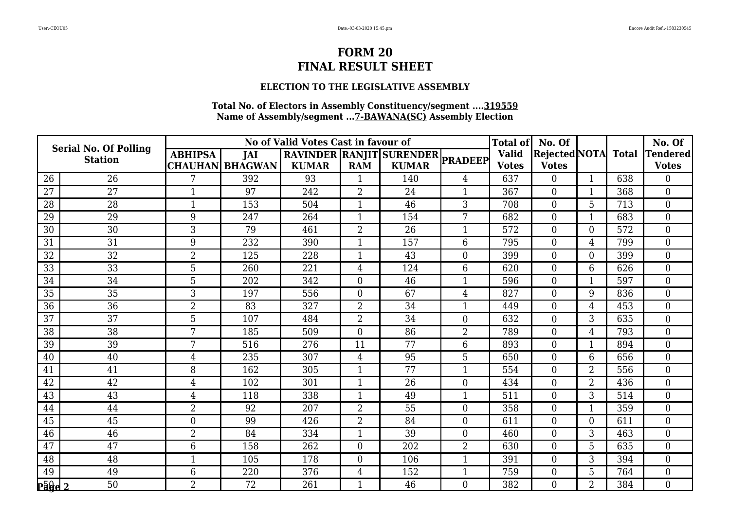### **ELECTION TO THE LEGISLATIVE ASSEMBLY**

|                | <b>Serial No. Of Polling</b> |                |                        | No of Valid Votes Cast in favour of |                |                                  |                  | <b>Total of</b> | No. Of               |                |              | No. Of           |
|----------------|------------------------------|----------------|------------------------|-------------------------------------|----------------|----------------------------------|------------------|-----------------|----------------------|----------------|--------------|------------------|
|                | <b>Station</b>               | <b>ABHIPSA</b> | <b>JAI</b>             |                                     |                | RAVINDER RANJIT SURENDER PRADEEP |                  | <b>Valid</b>    | <b>Rejected NOTA</b> |                | <b>Total</b> | <b>Tendered</b>  |
|                |                              |                | <b>CHAUHAN BHAGWAN</b> | <b>KUMAR</b>                        | <b>RAM</b>     | <b>KUMAR</b>                     |                  | <b>Votes</b>    | <b>Votes</b>         |                |              | <b>Votes</b>     |
| 26             | 26                           |                | 392                    | 93                                  |                | 140                              | $\overline{4}$   | 637             | $\Omega$             |                | 638          | $\Omega$         |
| 27             | 27                           | $\mathbf{1}$   | 97                     | 242                                 | $\overline{2}$ | 24                               | $\mathbf{1}$     | 367             | $\overline{0}$       |                | 368          | $\overline{0}$   |
| 28             | 28                           | $\mathbf{1}$   | 153                    | 504                                 | $\mathbf{1}$   | 46                               | 3                | 708             | $\overline{0}$       | 5              | 713          | $\mathbf{0}$     |
| 29             | 29                           | 9              | 247                    | 264                                 | $\mathbf{1}$   | 154                              | 7                | 682             | $\Omega$             |                | 683          | $\theta$         |
| 30             | 30                           | 3              | 79                     | 461                                 | $\overline{2}$ | 26                               | $\mathbf{1}$     | 572             | $\overline{0}$       | 0              | 572          | $\boldsymbol{0}$ |
| 31             | 31                           | 9              | 232                    | 390                                 | $\mathbf{1}$   | 157                              | 6                | 795             | $\overline{0}$       | 4              | 799          | $\overline{0}$   |
| 32             | 32                           | $\overline{2}$ | 125                    | 228                                 | $\mathbf{1}$   | 43                               | $\overline{0}$   | 399             | $\overline{0}$       | $\overline{0}$ | 399          | $\mathbf{0}$     |
| 33             | 33                           | 5              | 260                    | 221                                 | $\overline{4}$ | 124                              | 6                | 620             | $\overline{0}$       | 6              | 626          | $\overline{0}$   |
| 34             | 34                           | 5              | 202                    | 342                                 | $\overline{0}$ | 46                               | $\mathbf{1}$     | 596             | $\overline{0}$       | 1              | 597          | $\overline{0}$   |
| 35             | 35                           | 3              | 197                    | 556                                 | $\overline{0}$ | 67                               | $\overline{4}$   | 827             | $\overline{0}$       | 9              | 836          | $\overline{0}$   |
| 36             | 36                           | $\overline{2}$ | 83                     | 327                                 | $\overline{2}$ | 34                               | $\mathbf{1}$     | 449             | $\overline{0}$       | $\overline{4}$ | 453          | $\mathbf{0}$     |
| 37             | 37                           | 5              | 107                    | 484                                 | $\overline{2}$ | 34                               | $\overline{0}$   | 632             | $\overline{0}$       | 3              | 635          | $\theta$         |
| 38             | 38                           | 7              | 185                    | 509                                 | $\overline{0}$ | 86                               | $\overline{2}$   | 789             | $\Omega$             | 4              | 793          | $\overline{0}$   |
| 39             | 39                           | 7              | 516                    | 276                                 | 11             | 77                               | 6                | 893             | $\overline{0}$       | $\mathbf 1$    | 894          | $\theta$         |
| 40             | 40                           | $\overline{4}$ | 235                    | 307                                 | $\overline{4}$ | 95                               | 5                | 650             | $\overline{0}$       | 6              | 656          | $\overline{0}$   |
| 41             | 41                           | 8              | 162                    | 305                                 | $\mathbf{1}$   | 77                               | $\mathbf{1}$     | 554             | $\overline{0}$       | 2              | 556          | $\overline{0}$   |
| 42             | 42                           | $\overline{4}$ | 102                    | 301                                 | $\mathbf{1}$   | 26                               | $\overline{0}$   | 434             | $\overline{0}$       | $\overline{2}$ | 436          | $\theta$         |
| 43             | 43                           | 4              | 118                    | 338                                 | $\mathbf 1$    | 49                               | 1                | 511             | $\overline{0}$       | 3              | 514          | $\overline{0}$   |
| 44             | 44                           | $\overline{2}$ | 92                     | 207                                 | $\overline{2}$ | 55                               | $\boldsymbol{0}$ | 358             | $\overline{0}$       | $\mathbf 1$    | 359          | $\boldsymbol{0}$ |
| 45             | 45                           | $\overline{0}$ | 99                     | 426                                 | $\overline{2}$ | 84                               | $\overline{0}$   | 611             | $\Omega$             | 0              | 611          | $\theta$         |
| 46             | 46                           | $\overline{2}$ | 84                     | 334                                 | $\mathbf 1$    | 39                               | $\overline{0}$   | 460             | $\Omega$             | 3              | 463          | $\overline{0}$   |
| 47             | 47                           | 6              | 158                    | 262                                 | $\mathbf{0}$   | 202                              | $\overline{2}$   | 630             | $\overline{0}$       | 5              | 635          | $\overline{0}$   |
| 48             | 48                           | $\mathbf{1}$   | 105                    | 178                                 | $\overline{0}$ | 106                              | $\mathbf{1}$     | 391             | $\overline{0}$       | 3              | 394          | $\mathbf{0}$     |
| 49             | 49                           | 6              | 220                    | 376                                 | 4              | 152                              | $\mathbf{1}$     | 759             | $\overline{0}$       | 5              | 764          | $\overline{0}$   |
| <u> Pāĝe 2</u> | 50                           | $\overline{2}$ | 72                     | 261                                 |                | 46                               | $\theta$         | 382             | $\overline{0}$       | $\overline{2}$ | 384          | $\overline{0}$   |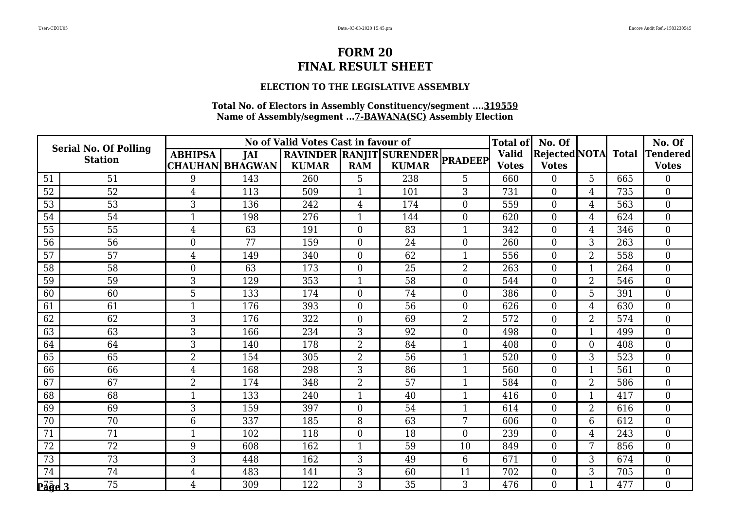### **ELECTION TO THE LEGISLATIVE ASSEMBLY**

|                   | <b>Serial No. Of Polling</b> |                  |                        | No of Valid Votes Cast in favour of |                |                                  |                  | <b>Total of</b> | No. Of         |                |     | No. Of                       |
|-------------------|------------------------------|------------------|------------------------|-------------------------------------|----------------|----------------------------------|------------------|-----------------|----------------|----------------|-----|------------------------------|
|                   | <b>Station</b>               | <b>ABHIPSA</b>   | <b>JAI</b>             |                                     |                | RAVINDER RANJIT SURENDER PRADEEP |                  | <b>Valid</b>    |                |                |     | Rejected NOTA Total Tendered |
|                   |                              |                  | <b>CHAUHAN BHAGWAN</b> | <b>KUMAR</b>                        | <b>RAM</b>     | <b>KUMAR</b>                     |                  | <b>Votes</b>    | <b>Votes</b>   |                |     | <b>Votes</b>                 |
| 51                | 51                           | 9                | 143                    | 260                                 | 5              | 238                              | 5                | 660             | $\overline{0}$ | 5              | 665 | $\Omega$                     |
| 52                | 52                           | $\overline{4}$   | 113                    | 509                                 | 1              | 101                              | 3                | 731             | $\overline{0}$ | 4              | 735 | $\overline{0}$               |
| 53                | 53                           | 3                | 136                    | 242                                 | $\overline{4}$ | 174                              | $\overline{0}$   | 559             | $\overline{0}$ | 4              | 563 | $\overline{0}$               |
| 54                | 54                           |                  | 198                    | 276                                 | $\mathbf 1$    | 144                              | $\boldsymbol{0}$ | 620             | $\overline{0}$ | 4              | 624 | $\mathbf{0}$                 |
| 55                | 55                           | $\overline{4}$   | 63                     | 191                                 | $\mathbf{0}$   | 83                               | $\mathbf{1}$     | 342             | $\overline{0}$ | 4              | 346 | $\mathbf{0}$                 |
| 56                | 56                           | $\theta$         | 77                     | 159                                 | $\Omega$       | 24                               | $\Omega$         | 260             | $\overline{0}$ | 3              | 263 | $\theta$                     |
| 57                | 57                           | 4                | 149                    | 340                                 | $\overline{0}$ | 62                               | 1                | 556             | $\Omega$       | $\overline{2}$ | 558 | $\theta$                     |
| 58                | 58                           | $\boldsymbol{0}$ | 63                     | 173                                 | $\mathbf{0}$   | 25                               | 2                | 263             | $\overline{0}$ |                | 264 | $\overline{0}$               |
| 59                | 59                           | 3                | 129                    | 353                                 | $\mathbf{1}$   | 58                               | $\overline{0}$   | 544             | $\overline{0}$ | 2              | 546 | $\overline{0}$               |
| 60                | 60                           | 5                | 133                    | 174                                 | $\overline{0}$ | 74                               | $\overline{0}$   | 386             | $\Omega$       | 5              | 391 | $\theta$                     |
| 61                | 61                           | $\mathbf{1}$     | 176                    | 393                                 | $\mathbf{0}$   | 56                               | $\overline{0}$   | 626             | $\Omega$       | 4              | 630 | $\overline{0}$               |
| 62                | 62                           | 3                | 176                    | 322                                 | $\overline{0}$ | 69                               | $\overline{2}$   | 572             | $\overline{0}$ | 2              | 574 | $\overline{0}$               |
| 63                | 63                           | 3                | 166                    | 234                                 | 3              | 92                               | $\overline{0}$   | 498             | $\overline{0}$ | $\mathbf{1}$   | 499 | $\mathbf{0}$                 |
| 64                | 64                           | 3                | 140                    | 178                                 | $\overline{2}$ | 84                               | $\mathbf{1}$     | 408             | $\overline{0}$ | $\overline{0}$ | 408 | $\theta$                     |
| 65                | 65                           | $\overline{2}$   | 154                    | 305                                 | $\overline{2}$ | 56                               | $\mathbf 1$      | 520             | $\overline{0}$ | 3              | 523 | $\theta$                     |
| 66                | 66                           | $\overline{4}$   | 168                    | 298                                 | 3              | 86                               | $\mathbf{1}$     | 560             | $\overline{0}$ |                | 561 | $\overline{0}$               |
| 67                | 67                           | $\overline{2}$   | 174                    | 348                                 | $\overline{2}$ | 57                               | $\mathbf{1}$     | 584             | $\overline{0}$ | $\overline{2}$ | 586 | $\theta$                     |
| 68                | 68                           | $\mathbf 1$      | 133                    | 240                                 | $\mathbf{1}$   | 40                               | $\mathbf{1}$     | 416             | $\overline{0}$ | $\mathbf 1$    | 417 | $\overline{0}$               |
| 69                | 69                           | 3                | 159                    | 397                                 | $\overline{0}$ | 54                               | $\mathbf{1}$     | 614             | $\overline{0}$ | 2              | 616 | $\overline{0}$               |
| 70                | 70                           | 6                | 337                    | 185                                 | 8              | 63                               | 7                | 606             | $\Omega$       | 6              | 612 | $\theta$                     |
| 71                | 71                           |                  | 102                    | 118                                 | $\overline{0}$ | 18                               | $\overline{0}$   | 239             | $\overline{0}$ | 4              | 243 | $\overline{0}$               |
| 72                | 72                           | 9                | 608                    | 162                                 | $\mathbf{1}$   | 59                               | 10               | 849             | $\overline{0}$ | 7              | 856 | $\boldsymbol{0}$             |
| 73                | 73                           | 3                | 448                    | 162                                 | 3              | 49                               | 6                | 671             | $\overline{0}$ | 3              | 674 | $\theta$                     |
| 74                | 74                           | 4                | 483                    | 141                                 | 3              | 60                               | 11               | 702             | $\Omega$       | 3              | 705 | $\overline{0}$               |
| $P\vec{a}$ ge $3$ | $\overline{75}$              | $\overline{4}$   | 309                    | 122                                 | 3              | 35                               | 3                | 476             | $\overline{0}$ |                | 477 | $\overline{0}$               |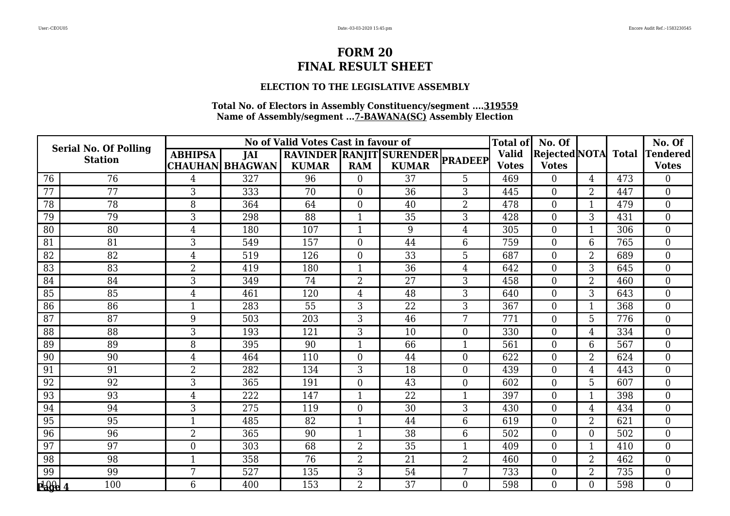### **ELECTION TO THE LEGISLATIVE ASSEMBLY**

|                 | <b>Serial No. Of Polling</b> |                  |                        | No of Valid Votes Cast in favour of |                  |                                  |                  | <b>Total of</b> | No. Of               |                |              | No. Of           |
|-----------------|------------------------------|------------------|------------------------|-------------------------------------|------------------|----------------------------------|------------------|-----------------|----------------------|----------------|--------------|------------------|
|                 | <b>Station</b>               | <b>ABHIPSA</b>   | <b>JAI</b>             |                                     |                  | RAVINDER RANJIT SURENDER PRADEEP |                  | <b>Valid</b>    | <b>Rejected NOTA</b> |                | <b>Total</b> | <b>Tendered</b>  |
|                 |                              |                  | <b>CHAUHAN BHAGWAN</b> | <b>KUMAR</b>                        | <b>RAM</b>       | <b>KUMAR</b>                     |                  | <b>Votes</b>    | <b>Votes</b>         |                |              | <b>Votes</b>     |
| 76              | 76                           | 4                | 327                    | 96                                  | $\theta$         | 37                               | 5                | 469             | $\Omega$             | 4              | 473          | $\Omega$         |
| 77              | 77                           | 3                | 333                    | 70                                  | $\mathbf{0}$     | 36                               | 3                | 445             | $\overline{0}$       | $\overline{2}$ | 447          | $\overline{0}$   |
| 78              | 78                           | 8                | 364                    | 64                                  | $\overline{0}$   | 40                               | $\overline{2}$   | 478             | $\overline{0}$       | $\mathbf{1}$   | 479          | $\mathbf{0}$     |
| 79              | 79                           | 3                | 298                    | 88                                  | $\mathbf 1$      | 35                               | 3                | 428             | $\Omega$             | 3              | 431          | $\theta$         |
| 80              | 80                           | $\overline{4}$   | 180                    | 107                                 | $\mathbf{1}$     | 9                                | $\overline{4}$   | 305             | $\overline{0}$       |                | 306          | $\mathbf{0}$     |
| 81              | 81                           | 3                | 549                    | 157                                 | $\overline{0}$   | 44                               | 6                | 759             | $\overline{0}$       | 6              | 765          | $\overline{0}$   |
| 82              | 82                           | $\overline{4}$   | 519                    | 126                                 | $\mathbf{0}$     | 33                               | 5                | 687             | $\overline{0}$       | $\overline{2}$ | 689          | $\mathbf{0}$     |
| 83              | 83                           | $\overline{2}$   | 419                    | 180                                 | $\mathbf{1}$     | 36                               | $\overline{4}$   | 642             | $\overline{0}$       | 3              | 645          | $\overline{0}$   |
| 84              | 84                           | 3                | 349                    | 74                                  | $\overline{2}$   | 27                               | 3                | 458             | $\overline{0}$       | 2              | 460          | $\overline{0}$   |
| 85              | 85                           | $\overline{4}$   | 461                    | 120                                 | $\overline{4}$   | 48                               | 3                | 640             | $\overline{0}$       | 3              | 643          | $\overline{0}$   |
| 86              | 86                           | $\overline{1}$   | 283                    | $\overline{55}$                     | 3                | 22                               | 3                | 367             | $\overline{0}$       | $\mathbf{1}$   | 368          | $\mathbf{0}$     |
| 87              | 87                           | 9                | 503                    | 203                                 | 3                | 46                               | 7                | 771             | $\overline{0}$       | 5              | 776          | $\theta$         |
| 88              | 88                           | 3                | 193                    | 121                                 | 3                | 10                               | $\overline{0}$   | 330             | $\Omega$             | 4              | 334          | $\overline{0}$   |
| 89              | 89                           | 8                | 395                    | 90                                  | $\mathbf{1}$     | 66                               | $\mathbf{1}$     | 561             | $\overline{0}$       | 6              | 567          | $\theta$         |
| 90              | 90                           | $\overline{4}$   | 464                    | 110                                 | $\boldsymbol{0}$ | 44                               | $\boldsymbol{0}$ | 622             | $\overline{0}$       | $\overline{2}$ | 624          | $\overline{0}$   |
| 91              | 91                           | $\overline{2}$   | 282                    | 134                                 | 3                | 18                               | $\overline{0}$   | 439             | $\overline{0}$       | 4              | 443          | $\overline{0}$   |
| 92              | 92                           | 3                | 365                    | 191                                 | $\overline{0}$   | 43                               | $\overline{0}$   | 602             | $\Omega$             | 5              | 607          | $\theta$         |
| 93              | 93                           | 4                | 222                    | 147                                 | $\mathbf 1$      | 22                               | 1                | 397             | $\overline{0}$       | 1              | 398          | $\overline{0}$   |
| 94              | 94                           | 3                | 275                    | 119                                 | $\mathbf{0}$     | 30                               | 3                | 430             | $\overline{0}$       | 4              | 434          | $\boldsymbol{0}$ |
| $\overline{95}$ | 95                           | $\mathbf{1}$     | 485                    | 82                                  | $\mathbf{1}$     | 44                               | 6                | 619             | $\Omega$             | $\overline{2}$ | 621          | $\theta$         |
| 96              | 96                           | $\overline{2}$   | 365                    | 90                                  | $\mathbf 1$      | 38                               | 6                | 502             | $\Omega$             | 0              | 502          | $\overline{0}$   |
| 97              | 97                           | $\boldsymbol{0}$ | 303                    | 68                                  | $\overline{2}$   | 35                               | $\mathbf{1}$     | 409             | $\overline{0}$       |                | 410          | $\overline{0}$   |
| 98              | 98                           | $\mathbf{1}$     | 358                    | 76                                  | $\overline{2}$   | 21                               | $\overline{2}$   | 460             | $\overline{0}$       | 2              | 462          | $\mathbf{0}$     |
| 99              | 99                           | 7                | 527                    | 135                                 | 3                | 54                               | 7                | 733             | $\overline{0}$       | $\overline{2}$ | 735          | $\overline{0}$   |
| $\frac{1}{2}$   | 100                          | 6                | 400                    | 153                                 | $\overline{2}$   | 37                               | $\theta$         | 598             | $\overline{0}$       | 0              | 598          | $\overline{0}$   |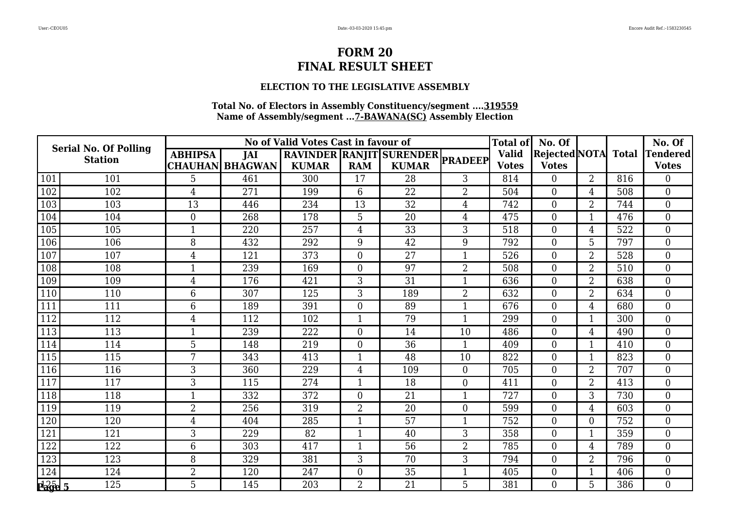### **ELECTION TO THE LEGISLATIVE ASSEMBLY**

|                   | <b>Serial No. Of Polling</b> |                |                        | No of Valid Votes Cast in favour of |                |                                  |                  | <b>Total of</b> | No. Of               |                |              | No. Of          |
|-------------------|------------------------------|----------------|------------------------|-------------------------------------|----------------|----------------------------------|------------------|-----------------|----------------------|----------------|--------------|-----------------|
|                   | <b>Station</b>               | <b>ABHIPSA</b> | <b>JAI</b>             |                                     |                | RAVINDER RANJIT SURENDER PRADEEP |                  | <b>Valid</b>    | <b>Rejected NOTA</b> |                | <b>Total</b> | <b>Tendered</b> |
|                   |                              |                | <b>CHAUHAN BHAGWAN</b> | <b>KUMAR</b>                        | <b>RAM</b>     | <b>KUMAR</b>                     |                  | <b>Votes</b>    | <b>Votes</b>         |                |              | <b>Votes</b>    |
| 101               | 101                          | 5              | 461                    | 300                                 | 17             | 28                               | 3                | 814             | $\overline{0}$       | $\overline{2}$ | 816          | $\Omega$        |
| 102               | 102                          | $\overline{4}$ | 271                    | 199                                 | 6              | 22                               | $\overline{2}$   | 504             | $\overline{0}$       | 4              | 508          | $\overline{0}$  |
| 103               | 103                          | 13             | 446                    | 234                                 | 13             | 32                               | 4                | 742             | $\overline{0}$       | 2              | 744          | $\theta$        |
| 104               | 104                          | $\overline{0}$ | 268                    | 178                                 | 5              | 20                               | $\overline{4}$   | 475             | $\overline{0}$       |                | 476          | $\overline{0}$  |
| 105               | 105                          | $\mathbf{1}$   | 220                    | 257                                 | $\overline{4}$ | 33                               | 3                | 518             | $\overline{0}$       | 4              | 522          | $\mathbf{0}$    |
| 106               | 106                          | 8              | 432                    | 292                                 | 9              | 42                               | 9                | 792             | $\overline{0}$       | 5              | 797          | $\theta$        |
| 107               | 107                          | 4              | 121                    | 373                                 | $\overline{0}$ | 27                               | 1                | 526             | $\Omega$             | $\overline{2}$ | 528          | $\theta$        |
| 108               | 108                          | $\mathbf{1}$   | 239                    | 169                                 | $\mathbf{0}$   | 97                               | $\overline{2}$   | 508             | $\overline{0}$       | $\overline{2}$ | 510          | $\overline{0}$  |
| 109               | 109                          | $\overline{4}$ | 176                    | 421                                 | 3              | 31                               | $\mathbf{1}$     | 636             | $\overline{0}$       | 2              | 638          | $\overline{0}$  |
| 110               | 110                          | 6              | 307                    | 125                                 | 3              | 189                              | $\overline{2}$   | 632             | $\overline{0}$       | 2              | 634          | $\theta$        |
| 111               | 111                          | 6              | 189                    | 391                                 | $\mathbf{0}$   | 89                               | $\mathbf{1}$     | 676             | $\Omega$             | 4              | 680          | $\overline{0}$  |
| 112               | 112                          | 4              | 112                    | 102                                 | 1              | 79                               | 1                | 299             | $\overline{0}$       | $\mathbf 1$    | 300          | $\overline{0}$  |
| 113               | 113                          | $\mathbf{1}$   | 239                    | 222                                 | $\mathbf{0}$   | 14                               | 10               | 486             | $\overline{0}$       | 4              | 490          | $\overline{0}$  |
| 114               | 114                          | 5              | 148                    | 219                                 | $\mathbf{0}$   | $\overline{36}$                  | $\mathbf{1}$     | 409             | $\overline{0}$       |                | 410          | $\theta$        |
| 115               | 115                          | 7              | 343                    | 413                                 | $\mathbf 1$    | 48                               | 10               | 822             | $\overline{0}$       | -1             | 823          | $\overline{0}$  |
| 116               | 116                          | 3              | 360                    | 229                                 | 4              | 109                              | $\overline{0}$   | 705             | $\overline{0}$       | $\overline{2}$ | 707          | $\overline{0}$  |
| 117               | 117                          | 3              | 115                    | 274                                 | $\mathbf{1}$   | 18                               | $\boldsymbol{0}$ | 411             | $\overline{0}$       | $\overline{2}$ | 413          | $\theta$        |
| 118               | 118                          | $\mathbf 1$    | 332                    | 372                                 | $\mathbf{0}$   | 21                               | $\mathbf{1}$     | 727             | $\overline{0}$       | 3              | 730          | $\overline{0}$  |
| 119               | 119                          | $\overline{2}$ | 256                    | 319                                 | $\overline{2}$ | 20                               | $\overline{0}$   | 599             | $\overline{0}$       | 4              | 603          | $\overline{0}$  |
| 120               | 120                          | $\overline{4}$ | 404                    | 285                                 | $\mathbf{1}$   | 57                               | $\mathbf{1}$     | 752             | $\Omega$             | 0              | 752          | $\Omega$        |
| 121               | 121                          | 3              | 229                    | 82                                  | -1             | 40                               | 3                | 358             | $\overline{0}$       |                | 359          | $\overline{0}$  |
| 122               | 122                          | 6              | 303                    | 417                                 | 1              | 56                               | $\overline{2}$   | 785             | $\overline{0}$       | 4              | 789          | $\mathbf{0}$    |
| 123               | 123                          | 8              | 329                    | 381                                 | 3              | 70                               | 3                | 794             | $\overline{0}$       | 2              | 796          | $\theta$        |
| 124               | 124                          | $\overline{2}$ | 120                    | 247                                 | $\overline{0}$ | 35                               | 1                | 405             | $\Omega$             |                | 406          | $\overline{0}$  |
| $\frac{1}{260}$ 5 | 125                          | 5              | 145                    | 203                                 | $\overline{2}$ | 21                               | 5                | 381             | $\overline{0}$       | 5              | 386          | $\overline{0}$  |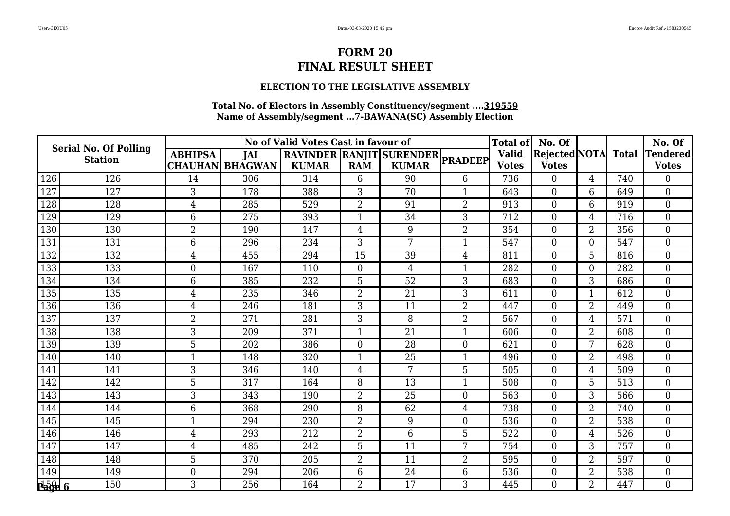### **ELECTION TO THE LEGISLATIVE ASSEMBLY**

|               | <b>Serial No. Of Polling</b> |                |                        | No of Valid Votes Cast in favour of |                |                                  |                | <b>Total of</b> | No. Of               |                |              | No. Of          |
|---------------|------------------------------|----------------|------------------------|-------------------------------------|----------------|----------------------------------|----------------|-----------------|----------------------|----------------|--------------|-----------------|
|               | <b>Station</b>               | <b>ABHIPSA</b> | <b>JAI</b>             |                                     |                | RAVINDER RANJIT SURENDER PRADEEP |                | <b>Valid</b>    | <b>Rejected NOTA</b> |                | <b>Total</b> | <b>Tendered</b> |
|               |                              |                | <b>CHAUHAN BHAGWAN</b> | <b>KUMAR</b>                        | <b>RAM</b>     | <b>KUMAR</b>                     |                | <b>Votes</b>    | <b>Votes</b>         |                |              | <b>Votes</b>    |
| 126           | 126                          | 14             | 306                    | 314                                 | 6              | 90                               | 6              | 736             | $\Omega$             | 4              | 740          | $\Omega$        |
| 127           | 127                          | 3              | 178                    | 388                                 | 3              | 70                               | $\mathbf{1}$   | 643             | $\overline{0}$       | 6              | 649          | $\overline{0}$  |
| 128           | 128                          | $\overline{4}$ | 285                    | 529                                 | $\overline{2}$ | 91                               | $\overline{2}$ | 913             | $\overline{0}$       | 6              | 919          | $\overline{0}$  |
| 129           | 129                          | 6              | 275                    | 393                                 | $\mathbf 1$    | 34                               | 3              | 712             | $\Omega$             | 4              | 716          | $\theta$        |
| 130           | 130                          | $\overline{2}$ | 190                    | 147                                 | $\overline{4}$ | 9                                | $\overline{2}$ | 354             | $\overline{0}$       | $\overline{2}$ | 356          | $\overline{0}$  |
| 131           | 131                          | 6              | 296                    | 234                                 | 3              | 7                                | 1              | 547             | $\overline{0}$       | $\overline{0}$ | 547          | $\overline{0}$  |
| 132           | 132                          | $\overline{4}$ | 455                    | 294                                 | 15             | 39                               | $\overline{4}$ | 811             | $\overline{0}$       | 5              | 816          | $\mathbf{0}$    |
| 133           | 133                          | $\overline{0}$ | 167                    | 110                                 | $\mathbf{0}$   | 4                                | $\mathbf{1}$   | 282             | $\overline{0}$       | $\overline{0}$ | 282          | $\overline{0}$  |
| 134           | 134                          | 6              | 385                    | 232                                 | 5              | 52                               | 3              | 683             | $\overline{0}$       | 3              | 686          | $\overline{0}$  |
| 135           | 135                          | 4              | 235                    | 346                                 | $\overline{2}$ | 21                               | 3              | 611             | $\Omega$             | $\mathbf 1$    | 612          | $\overline{0}$  |
| 136           | 136                          | $\overline{4}$ | 246                    | 181                                 | 3              | 11                               | $\overline{2}$ | 447             | $\overline{0}$       | $\overline{2}$ | 449          | $\mathbf{0}$    |
| 137           | 137                          | $\overline{2}$ | 271                    | 281                                 | 3              | 8                                | $\overline{2}$ | 567             | $\overline{0}$       | 4              | 571          | $\theta$        |
| 138           | 138                          | 3              | 209                    | 371                                 | $\mathbf{1}$   | 21                               | $\mathbf{1}$   | 606             | $\overline{0}$       | 2              | 608          | $\overline{0}$  |
| 139           | 139                          | 5              | 202                    | 386                                 | $\mathbf{0}$   | 28                               | $\overline{0}$ | 621             | $\Omega$             | 7              | 628          | $\theta$        |
| 140           | 140                          | 1              | 148                    | 320                                 | $\mathbf 1$    | 25                               | $\mathbf{1}$   | 496             | $\overline{0}$       | $\overline{2}$ | 498          | $\overline{0}$  |
| 141           | 141                          | 3              | 346                    | 140                                 | $\overline{4}$ | 7                                | 5              | 505             | $\overline{0}$       | 4              | 509          | $\overline{0}$  |
| 142           | 142                          | 5              | 317                    | 164                                 | 8              | 13                               | $\mathbf{1}$   | 508             | $\overline{0}$       | 5              | 513          | $\theta$        |
| 143           | 143                          | 3              | 343                    | 190                                 | $\overline{2}$ | 25                               | $\overline{0}$ | 563             | $\overline{0}$       | 3              | 566          | $\overline{0}$  |
| 144           | 144                          | 6              | 368                    | 290                                 | 8              | 62                               | $\overline{4}$ | 738             | $\overline{0}$       | $\overline{2}$ | 740          | $\overline{0}$  |
| 145           | 145                          | $\mathbf{1}$   | 294                    | 230                                 | $\overline{2}$ | 9                                | $\overline{0}$ | 536             | $\Omega$             | $\overline{2}$ | 538          | $\theta$        |
| 146           | 146                          | 4              | 293                    | 212                                 | $\overline{2}$ | 6                                | 5              | 522             | $\Omega$             | 4              | 526          | $\overline{0}$  |
| 147           | 147                          | 4              | 485                    | 242                                 | 5              | 11                               | 7              | 754             | $\overline{0}$       | 3              | 757          | $\overline{0}$  |
| 148           | 148                          | 5              | 370                    | 205                                 | $\overline{2}$ | 11                               | $\overline{2}$ | 595             | $\overline{0}$       | 2              | 597          | $\mathbf{0}$    |
| 149           | 149                          | $\overline{0}$ | 294                    | 206                                 | 6              | 24                               | 6              | 536             | $\Omega$             | 2              | 538          | $\overline{0}$  |
| $\frac{1}{2}$ | 150                          | 3              | 256                    | 164                                 | $\overline{2}$ | 17                               | 3              | 445             | $\overline{0}$       | $\overline{2}$ | 447          | $\overline{0}$  |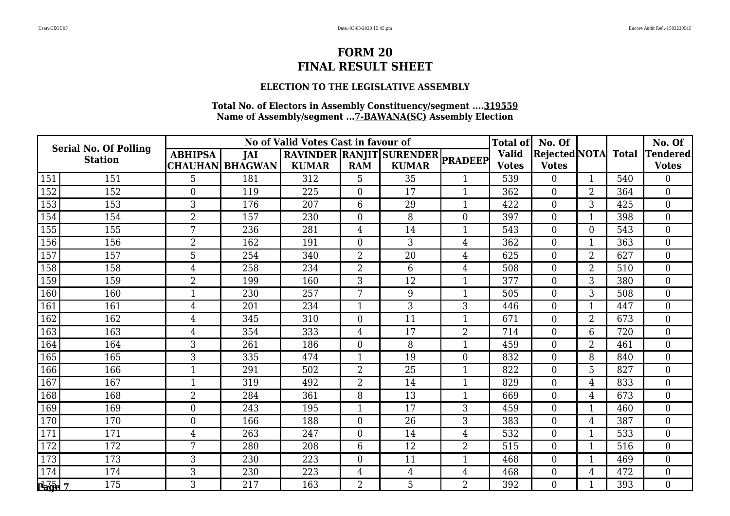### **ELECTION TO THE LEGISLATIVE ASSEMBLY**

|                                         | <b>Serial No. Of Polling</b> |                  |                        | No of Valid Votes Cast in favour of |                |                                  |                  | <b>Total of</b> | No. Of               |                |              | No. Of          |
|-----------------------------------------|------------------------------|------------------|------------------------|-------------------------------------|----------------|----------------------------------|------------------|-----------------|----------------------|----------------|--------------|-----------------|
|                                         | <b>Station</b>               | <b>ABHIPSA</b>   | <b>JAI</b>             |                                     |                | RAVINDER RANJIT SURENDER PRADEEP |                  | <b>Valid</b>    | <b>Rejected NOTA</b> |                | <b>Total</b> | <b>Tendered</b> |
|                                         |                              |                  | <b>CHAUHAN BHAGWAN</b> | <b>KUMAR</b>                        | <b>RAM</b>     | <b>KUMAR</b>                     |                  | <b>Votes</b>    | <b>Votes</b>         |                |              | <b>Votes</b>    |
| 151                                     | 151                          | 5                | 181                    | 312                                 | 5              | 35                               | $\mathbf{1}$     | 539             | $\Omega$             |                | 540          | $\Omega$        |
| 152                                     | 152                          | $\mathbf{0}$     | 119                    | 225                                 | $\mathbf{0}$   | 17                               | $\mathbf{1}$     | 362             | $\overline{0}$       | $\overline{2}$ | 364          | $\overline{0}$  |
| 153                                     | 153                          | 3                | 176                    | 207                                 | 6              | 29                               | $\mathbf{1}$     | 422             | $\overline{0}$       | 3              | 425          | $\overline{0}$  |
| 154                                     | 154                          | $\overline{2}$   | 157                    | 230                                 | $\overline{0}$ | 8                                | $\overline{0}$   | 397             | $\overline{0}$       |                | 398          | $\theta$        |
| 155                                     | 155                          | 7                | 236                    | 281                                 | 4              | 14                               | $\mathbf{1}$     | 543             | $\overline{0}$       | 0              | 543          | $\mathbf{0}$    |
| 156                                     | 156                          | $\overline{2}$   | 162                    | 191                                 | $\overline{0}$ | 3                                | $\overline{4}$   | 362             | $\overline{0}$       | 1              | 363          | $\overline{0}$  |
| 157                                     | 157                          | 5                | 254                    | 340                                 | $\overline{2}$ | 20                               | $\overline{4}$   | 625             | $\overline{0}$       | $\overline{2}$ | 627          | $\mathbf{0}$    |
| 158                                     | 158                          | $\overline{4}$   | 258                    | 234                                 | $\overline{2}$ | 6                                | $\overline{4}$   | 508             | $\overline{0}$       | $\overline{2}$ | 510          | $\overline{0}$  |
| 159                                     | 159                          | $\overline{2}$   | 199                    | 160                                 | 3              | 12                               | $\mathbf{1}$     | 377             | $\overline{0}$       | 3              | 380          | $\overline{0}$  |
| 160                                     | 160                          | 1                | 230                    | 257                                 | 7              | 9                                | $\mathbf{1}$     | 505             | $\Omega$             | 3              | 508          | $\overline{0}$  |
| 161                                     | 161                          | $\overline{4}$   | 201                    | 234                                 | $\mathbf{1}$   | 3                                | 3                | 446             | $\overline{0}$       | $\mathbf{1}$   | 447          | $\mathbf{0}$    |
| 162                                     | 162                          | $\overline{4}$   | 345                    | 310                                 | $\mathbf{0}$   | 11                               | $\mathbf 1$      | 671             | $\overline{0}$       | 2              | 673          | $\theta$        |
| 163                                     | 163                          | $\overline{4}$   | 354                    | 333                                 | 4              | 17                               | $\overline{2}$   | 714             | $\overline{0}$       | 6              | 720          | $\overline{0}$  |
| 164                                     | 164                          | 3                | 261                    | 186                                 | $\overline{0}$ | 8                                | $\mathbf{1}$     | 459             | $\overline{0}$       | $\overline{2}$ | 461          | $\theta$        |
| 165                                     | 165                          | 3                | 335                    | 474                                 | $\mathbf 1$    | 19                               | $\boldsymbol{0}$ | 832             | $\overline{0}$       | 8              | 840          | $\overline{0}$  |
| 166                                     | 166                          | $\mathbf{1}$     | 291                    | 502                                 | $\overline{2}$ | 25                               | $\mathbf{1}$     | 822             | $\overline{0}$       | 5              | 827          | $\overline{0}$  |
| 167                                     | 167                          | 1                | 319                    | 492                                 | $\overline{2}$ | 14                               | $\mathbf{1}$     | 829             | $\overline{0}$       | 4              | 833          | $\theta$        |
| 168                                     | 168                          | $\overline{2}$   | 284                    | 361                                 | 8              | 13                               | $\mathbf{1}$     | 669             | $\overline{0}$       | 4              | 673          | $\overline{0}$  |
| 169                                     | 169                          | $\boldsymbol{0}$ | 243                    | 195                                 | $\mathbf{1}$   | 17                               | 3                | 459             | $\overline{0}$       | 1              | 460          | $\overline{0}$  |
| 170                                     | 170                          | $\overline{0}$   | 166                    | 188                                 | $\overline{0}$ | 26                               | 3                | 383             | $\Omega$             | $\overline{4}$ | 387          | $\theta$        |
| 171                                     | 171                          | 4                | 263                    | 247                                 | $\overline{0}$ | 14                               | $\overline{4}$   | 532             | $\overline{0}$       |                | 533          | $\overline{0}$  |
| 172                                     | 172                          | 7                | 280                    | 208                                 | 6              | 12                               | $\overline{2}$   | 515             | $\overline{0}$       |                | 516          | $\overline{0}$  |
| 173                                     | 173                          | 3                | 230                    | 223                                 | $\overline{0}$ | 11                               | $\mathbf{1}$     | 468             | $\overline{0}$       | $\mathbf{1}$   | 469          | $\mathbf{0}$    |
| 174                                     | 174                          | 3                | 230                    | 223                                 | 4              | $\overline{4}$                   | $\overline{4}$   | 468             | $\Omega$             | 4              | 472          | $\overline{0}$  |
| $\overline{p_{\alpha}^{17}q_{\beta}}$ 7 | 175                          | 3                | 217                    | 163                                 | $\overline{2}$ | 5                                | $\overline{2}$   | 392             | $\overline{0}$       |                | 393          | $\overline{0}$  |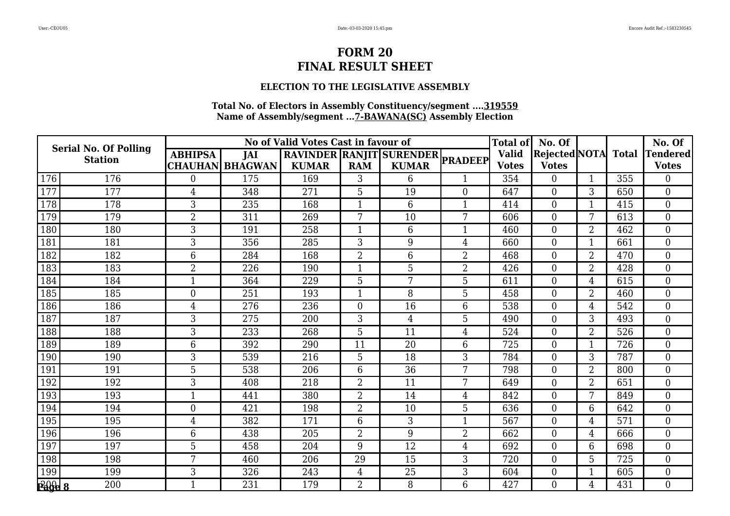### **ELECTION TO THE LEGISLATIVE ASSEMBLY**

|                            | <b>Serial No. Of Polling</b> |                |                        | No of Valid Votes Cast in favour of |                |                                  |                | <b>Total of</b>  | No. Of               |                |              | No. Of          |
|----------------------------|------------------------------|----------------|------------------------|-------------------------------------|----------------|----------------------------------|----------------|------------------|----------------------|----------------|--------------|-----------------|
|                            | <b>Station</b>               | <b>ABHIPSA</b> | <b>JAI</b>             |                                     |                | RAVINDER RANJIT SURENDER PRADEEP |                | <b>Valid</b>     | <b>Rejected NOTA</b> |                | <b>Total</b> | <b>Tendered</b> |
|                            |                              |                | <b>CHAUHAN BHAGWAN</b> | <b>KUMAR</b>                        | <b>RAM</b>     | <b>KUMAR</b>                     |                | <b>Votes</b>     | <b>Votes</b>         |                |              | <b>Votes</b>    |
| 176                        | 176                          | $\theta$       | 175                    | 169                                 | 3              | 6                                | 1              | 354              | $\Omega$             |                | 355          | $\Omega$        |
| 177                        | 177                          | 4              | 348                    | 271                                 | 5              | 19                               | $\overline{0}$ | 647              | $\overline{0}$       | 3              | 650          | $\overline{0}$  |
| 178                        | 178                          | 3              | 235                    | 168                                 | $\mathbf 1$    | 6                                | $\mathbf{1}$   | 414              | $\overline{0}$       | $\mathbf{1}$   | 415          | $\theta$        |
| 179                        | 179                          | $\overline{2}$ | 311                    | 269                                 | 7              | 10                               | 7              | 606              | $\overline{0}$       | 7              | 613          | $\overline{0}$  |
| 180                        | 180                          | 3              | 191                    | 258                                 | 1              | 6                                | $\mathbf{1}$   | 460              | $\overline{0}$       | 2              | 462          | $\mathbf{0}$    |
| 181                        | 181                          | 3              | 356                    | 285                                 | 3              | 9                                | 4              | 660              | $\overline{0}$       | 1              | 661          | $\theta$        |
| 182                        | 182                          | 6              | 284                    | 168                                 | $\overline{2}$ | 6                                | $\overline{2}$ | 468              | $\Omega$             | $\overline{2}$ | 470          | $\theta$        |
| 183                        | 183                          | $\overline{2}$ | 226                    | 190                                 | $\mathbf{1}$   | 5                                | 2              | 426              | $\overline{0}$       | $\overline{2}$ | 428          | $\mathbf{0}$    |
| 184                        | 184                          | $\mathbf{1}$   | 364                    | 229                                 | 5              | 7                                | 5              | 611              | $\overline{0}$       | 4              | 615          | $\overline{0}$  |
| 185                        | 185                          | $\overline{0}$ | 251                    | 193                                 | $\mathbf{1}$   | 8                                | 5              | 458              | $\overline{0}$       | 2              | 460          | $\theta$        |
| 186                        | 186                          | $\overline{4}$ | 276                    | 236                                 | $\overline{0}$ | 16                               | 6              | $\overline{538}$ | $\Omega$             | 4              | 542          | $\overline{0}$  |
| 187                        | 187                          | 3              | 275                    | 200                                 | 3              | 4                                | 5              | 490              | $\overline{0}$       | 3              | 493          | $\overline{0}$  |
| 188                        | 188                          | 3              | 233                    | 268                                 | 5              | 11                               | $\overline{4}$ | 524              | $\overline{0}$       | $\overline{2}$ | 526          | $\overline{0}$  |
| 189                        | 189                          | 6              | 392                    | 290                                 | 11             | $\overline{20}$                  | 6              | 725              | $\overline{0}$       | 1              | 726          | $\theta$        |
| 190                        | 190                          | 3              | 539                    | 216                                 | 5              | 18                               | 3              | 784              | $\overline{0}$       | 3              | 787          | $\overline{0}$  |
| 191                        | 191                          | 5              | 538                    | 206                                 | 6              | 36                               | 7              | 798              | $\overline{0}$       | 2              | 800          | $\overline{0}$  |
| 192                        | 192                          | 3              | 408                    | 218                                 | $\overline{2}$ | 11                               | 7              | 649              | $\overline{0}$       | $\overline{2}$ | 651          | $\theta$        |
| 193                        | 193                          | $\mathbf 1$    | 441                    | 380                                 | $\overline{2}$ | 14                               | 4              | 842              | $\overline{0}$       | 7              | 849          | $\overline{0}$  |
| 194                        | 194                          | $\overline{0}$ | 421                    | 198                                 | $\overline{2}$ | 10                               | 5              | 636              | $\overline{0}$       | 6              | 642          | $\overline{0}$  |
| 195                        | 195                          | $\overline{4}$ | 382                    | 171                                 | 6              | 3                                | $\mathbf{1}$   | 567              | $\Omega$             | 4              | 571          | $\Omega$        |
| 196                        | 196                          | 6              | 438                    | 205                                 | $\overline{2}$ | 9                                | 2              | 662              | $\overline{0}$       | 4              | 666          | $\overline{0}$  |
| 197                        | 197                          | 5              | 458                    | 204                                 | 9              | 12                               | $\overline{4}$ | 692              | $\overline{0}$       | 6              | 698          | $\mathbf{0}$    |
| 198                        | 198                          | 7              | 460                    | 206                                 | 29             | 15                               | 3              | 720              | $\overline{0}$       | 5              | 725          | $\theta$        |
| 199                        | 199                          | 3              | 326                    | 243                                 | 4              | 25                               | 3              | 604              | $\Omega$             |                | 605          | $\overline{0}$  |
| $\overline{P_4\theta_2}$ 8 | 200                          |                | 231                    | 179                                 | $\overline{2}$ | 8                                | 6              | 427              | $\overline{0}$       | 4              | 431          | $\overline{0}$  |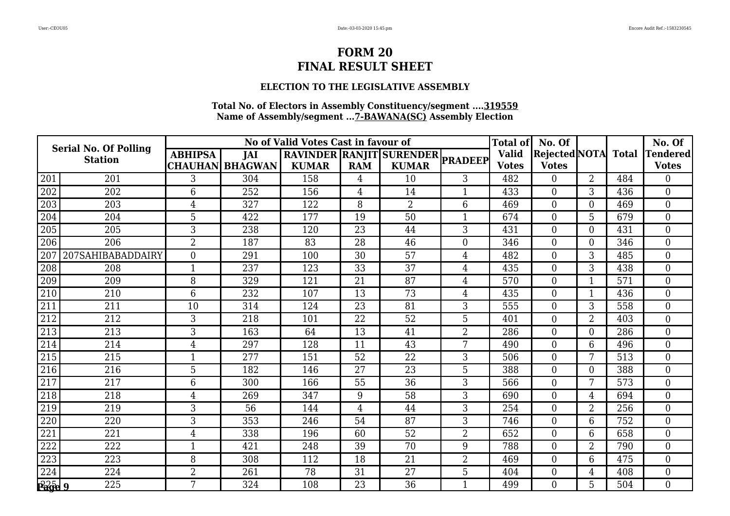### **ELECTION TO THE LEGISLATIVE ASSEMBLY**

|               | <b>Serial No. Of Polling</b> |                |                        | No of Valid Votes Cast in favour of |                 |                                  |                | <b>Total of</b> | No. Of               |                |              | No. Of          |
|---------------|------------------------------|----------------|------------------------|-------------------------------------|-----------------|----------------------------------|----------------|-----------------|----------------------|----------------|--------------|-----------------|
|               | <b>Station</b>               | <b>ABHIPSA</b> | <b>JAI</b>             |                                     |                 | RAVINDER RANJIT SURENDER PRADEEP |                | <b>Valid</b>    | <b>Rejected NOTA</b> |                | <b>Total</b> | <b>Tendered</b> |
|               |                              |                | <b>CHAUHAN BHAGWAN</b> | <b>KUMAR</b>                        | <b>RAM</b>      | <b>KUMAR</b>                     |                | <b>Votes</b>    | <b>Votes</b>         |                |              | <b>Votes</b>    |
| 201           | 201                          | 3              | 304                    | 158                                 | 4               | 10                               | 3              | 482             | $\Omega$             | $\overline{2}$ | 484          | $\Omega$        |
| 202           | 202                          | 6              | 252                    | 156                                 | 4               | 14                               | $\mathbf{1}$   | 433             | $\overline{0}$       | 3              | 436          | $\overline{0}$  |
| 203           | 203                          | $\overline{4}$ | 327                    | 122                                 | 8               | $\overline{2}$                   | 6              | 469             | $\overline{0}$       | $\overline{0}$ | 469          | $\overline{0}$  |
| 204           | 204                          | 5              | 422                    | 177                                 | 19              | 50                               | 1              | 674             | $\Omega$             | 5              | 679          | $\Omega$        |
| 205           | 205                          | 3              | 238                    | 120                                 | $\overline{23}$ | 44                               | 3              | 431             | $\overline{0}$       | $\overline{0}$ | 431          | $\mathbf{0}$    |
| 206           | 206                          | $\overline{2}$ | 187                    | 83                                  | 28              | 46                               | $\overline{0}$ | 346             | $\overline{0}$       | $\overline{0}$ | 346          | $\overline{0}$  |
| 207           | 207SAHIBABADDAIRY            | $\overline{0}$ | 291                    | 100                                 | 30              | 57                               | $\overline{4}$ | 482             | $\overline{0}$       | 3              | 485          | $\theta$        |
| 208           | 208                          | $\mathbf{1}$   | 237                    | 123                                 | 33              | 37                               | 4              | 435             | $\Omega$             | 3              | 438          | $\overline{0}$  |
| 209           | 209                          | 8              | 329                    | 121                                 | 21              | 87                               | $\overline{4}$ | 570             | $\overline{0}$       | $\mathbf{1}$   | 571          | $\overline{0}$  |
| 210           | 210                          | 6              | 232                    | 107                                 | 13              | 73                               | 4              | 435             | $\Omega$             | $\mathbf 1$    | 436          | $\overline{0}$  |
| 211           | 211                          | 10             | 314                    | 124                                 | $\overline{23}$ | 81                               | 3              | 555             | $\overline{0}$       | 3              | 558          | $\mathbf{0}$    |
| 212           | 212                          | 3              | 218                    | 101                                 | 22              | 52                               | 5              | 401             | $\overline{0}$       | $\overline{2}$ | 403          | $\theta$        |
| 213           | 213                          | 3              | 163                    | 64                                  | 13              | 41                               | $\overline{2}$ | 286             | $\Omega$             | 0              | 286          | $\overline{0}$  |
| 214           | 214                          | $\overline{4}$ | 297                    | 128                                 | 11              | 43                               | 7              | 490             | $\Omega$             | 6              | 496          | $\theta$        |
| 215           | 215                          |                | 277                    | 151                                 | 52              | 22                               | 3              | 506             | $\overline{0}$       | 7              | 513          | $\overline{0}$  |
| 216           | 216                          | 5              | 182                    | 146                                 | 27              | 23                               | 5              | 388             | $\overline{0}$       | 0              | 388          | $\overline{0}$  |
| 217           | 217                          | 6              | 300                    | 166                                 | 55              | 36                               | 3              | 566             | $\Omega$             | 7              | 573          | $\theta$        |
| 218           | 218                          | 4              | 269                    | 347                                 | 9               | 58                               | 3              | 690             | $\overline{0}$       | 4              | 694          | $\overline{0}$  |
| 219           | 219                          | 3              | 56                     | 144                                 | $\overline{4}$  | 44                               | 3              | 254             | $\overline{0}$       | $\overline{2}$ | 256          | $\overline{0}$  |
| 220           | 220                          | 3              | 353                    | 246                                 | 54              | 87                               | 3              | 746             | $\Omega$             | 6              | 752          | $\Omega$        |
| 221           | 221                          | 4              | 338                    | 196                                 | 60              | 52                               | $\overline{2}$ | 652             | $\Omega$             | 6              | 658          | $\overline{0}$  |
| 222           | 222                          | 1              | 421                    | 248                                 | 39              | 70                               | 9              | 788             | $\overline{0}$       | $\overline{2}$ | 790          | $\overline{0}$  |
| 223           | 223                          | 8              | 308                    | 112                                 | 18              | 21                               | $\overline{2}$ | 469             | $\overline{0}$       | 6              | 475          | $\mathbf{0}$    |
| 224           | 224                          | $\overline{2}$ | 261                    | 78                                  | 31              | 27                               | 5              | 404             | $\overline{0}$       | 4              | 408          | $\theta$        |
| <b>Page 9</b> | 225                          | 7              | 324                    | 108                                 | $\overline{23}$ | $\overline{36}$                  |                | 499             | $\overline{0}$       | 5              | 504          | $\overline{0}$  |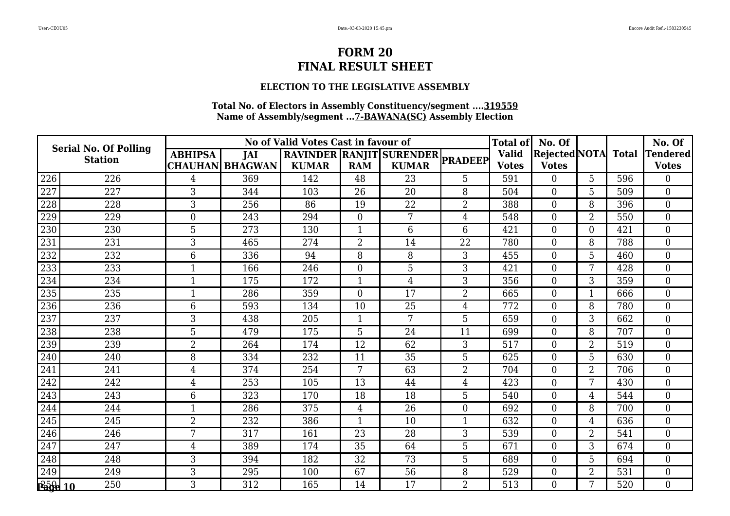### **ELECTION TO THE LEGISLATIVE ASSEMBLY**

|               | <b>Serial No. Of Polling</b> |                |                        | No of Valid Votes Cast in favour of |                  |                                  |                | <b>Total of</b> | No. Of         |                |              | No. Of          |
|---------------|------------------------------|----------------|------------------------|-------------------------------------|------------------|----------------------------------|----------------|-----------------|----------------|----------------|--------------|-----------------|
|               | <b>Station</b>               | <b>ABHIPSA</b> | <b>JAI</b>             |                                     |                  | RAVINDER RANJIT SURENDER PRADEEP |                | <b>Valid</b>    | Rejected NOTA  |                | <b>Total</b> | <b>Tendered</b> |
|               |                              |                | <b>CHAUHAN BHAGWAN</b> | <b>KUMAR</b>                        | <b>RAM</b>       | <b>KUMAR</b>                     |                | <b>Votes</b>    | <b>Votes</b>   |                |              | <b>Votes</b>    |
| 226           | 226                          | 4              | 369                    | 142                                 | 48               | 23                               | 5              | 591             | 0              | 5              | 596          | $\Omega$        |
| 227           | 227                          | 3              | 344                    | 103                                 | 26               | 20                               | 8              | 504             | $\overline{0}$ | 5              | 509          | $\overline{0}$  |
| 228           | 228                          | 3              | 256                    | 86                                  | 19               | 22                               | $\overline{2}$ | 388             | $\overline{0}$ | 8              | 396          | $\theta$        |
| 229           | 229                          | $\overline{0}$ | 243                    | 294                                 | $\boldsymbol{0}$ | 7                                | 4              | 548             | $\overline{0}$ | 2              | 550          | $\overline{0}$  |
| 230           | 230                          | 5              | 273                    | 130                                 | 1                | 6                                | 6              | 421             | $\overline{0}$ | $\overline{0}$ | 421          | $\mathbf{0}$    |
| 231           | 231                          | 3              | 465                    | 274                                 | $\overline{2}$   | 14                               | 22             | 780             | $\overline{0}$ | 8              | 788          | $\theta$        |
| 232           | 232                          | 6              | 336                    | 94                                  | 8                | 8                                | 3              | 455             | $\overline{0}$ | 5              | 460          | $\overline{0}$  |
| 233           | 233                          | $\mathbf{1}$   | 166                    | 246                                 | $\overline{0}$   | 5                                | 3              | 421             | $\overline{0}$ | 7              | 428          | $\overline{0}$  |
| 234           | 234                          | $\mathbf{1}$   | 175                    | 172                                 | $\mathbf{1}$     | $\overline{4}$                   | 3              | 356             | $\overline{0}$ | 3              | 359          | $\theta$        |
| 235           | 235                          | 1              | 286                    | 359                                 | $\theta$         | 17                               | $\overline{2}$ | 665             | $\overline{0}$ |                | 666          | $\overline{0}$  |
| 236           | 236                          | 6              | 593                    | 134                                 | 10               | 25                               | $\overline{4}$ | 772             | $\overline{0}$ | 8              | 780          | $\overline{0}$  |
| 237           | 237                          | 3              | 438                    | 205                                 | $\mathbf 1$      | 7                                | 5              | 659             | $\overline{0}$ | 3              | 662          | $\theta$        |
| 238           | 238                          | 5              | 479                    | 175                                 | 5                | 24                               | 11             | 699             | $\Omega$       | 8              | 707          | $\theta$        |
| 239           | 239                          | $\overline{2}$ | 264                    | 174                                 | 12               | 62                               | 3              | 517             | $\overline{0}$ | $\overline{2}$ | 519          | $\overline{0}$  |
| 240           | 240                          | 8              | 334                    | 232                                 | 11               | 35                               | 5              | 625             | $\overline{0}$ | 5              | 630          | $\theta$        |
| 241           | 241                          | 4              | 374                    | 254                                 | 7                | 63                               | $\overline{2}$ | 704             | $\Omega$       | $\overline{2}$ | 706          | $\theta$        |
| 242           | 242                          | $\overline{4}$ | 253                    | 105                                 | 13               | 44                               | $\overline{4}$ | 423             | $\overline{0}$ | 7              | 430          | $\overline{0}$  |
| 243           | 243                          | 6              | 323                    | 170                                 | 18               | 18                               | 5              | 540             | $\overline{0}$ | 4              | 544          | $\overline{0}$  |
| 244           | 244                          |                | 286                    | 375                                 | $\overline{4}$   | 26                               | $\overline{0}$ | 692             | $\overline{0}$ | 8              | 700          | $\overline{0}$  |
| 245           | 245                          | $\overline{2}$ | 232                    | 386                                 | $\mathbf{1}$     | 10                               | $\mathbf{1}$   | 632             | $\overline{0}$ | 4              | 636          | $\overline{0}$  |
| 246           | 246                          | 7              | 317                    | 161                                 | 23               | 28                               | 3              | 539             | $\overline{0}$ | 2              | 541          | $\overline{0}$  |
| 247           | 247                          | 4              | 389                    | 174                                 | 35               | 64                               | 5              | 671             | $\overline{0}$ | 3              | 674          | $\overline{0}$  |
| 248           | 248                          | 3              | 394                    | 182                                 | 32               | 73                               | 5              | 689             | $\overline{0}$ | 5              | 694          | $\overline{0}$  |
| 249           | 249                          | 3              | 295                    | 100                                 | 67               | 56                               | 8              | 529             | $\overline{0}$ | 2              | 531          | $\overline{0}$  |
| $P^5_0$ le 10 | 250                          | 3              | 312                    | 165                                 | 14               | 17                               | 2              | 513             | $\Omega$       | 7              | 520          | $\overline{0}$  |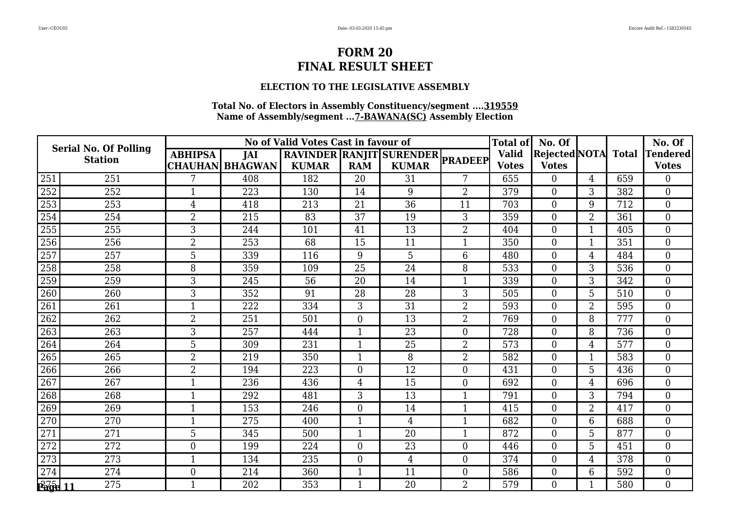### **ELECTION TO THE LEGISLATIVE ASSEMBLY**

|                                          | <b>Serial No. Of Polling</b> |                |                        | No of Valid Votes Cast in favour of |                 |                                  |                  | <b>Total of</b> | No. Of               |                |              | No. Of         |
|------------------------------------------|------------------------------|----------------|------------------------|-------------------------------------|-----------------|----------------------------------|------------------|-----------------|----------------------|----------------|--------------|----------------|
|                                          | <b>Station</b>               | <b>ABHIPSA</b> | JAI                    |                                     |                 | RAVINDER RANJIT SURENDER PRADEEP |                  | <b>Valid</b>    | <b>Rejected NOTA</b> |                | <b>Total</b> | Tendered       |
|                                          |                              |                | <b>CHAUHAN BHAGWAN</b> | <b>KUMAR</b>                        | <b>RAM</b>      | <b>KUMAR</b>                     |                  | <b>Votes</b>    | <b>Votes</b>         |                |              | <b>Votes</b>   |
| 251                                      | 251                          |                | 408                    | 182                                 | 20              | 31                               | 7                | 655             | $\overline{0}$       | 4              | 659          | $\theta$       |
| 252                                      | 252                          | 1              | 223                    | 130                                 | 14              | 9                                | $\overline{2}$   | 379             | $\overline{0}$       | 3              | 382          | $\mathbf{0}$   |
| 253                                      | 253                          | $\overline{4}$ | 418                    | 213                                 | 21              | 36                               | 11               | 703             | $\overline{0}$       | 9              | 712          | $\overline{0}$ |
| 254                                      | 254                          | $\overline{2}$ | 215                    | 83                                  | 37              | 19                               | 3                | 359             | $\overline{0}$       | $\overline{2}$ | 361          | $\overline{0}$ |
| 255                                      | 255                          | 3              | 244                    | 101                                 | 41              | 13                               | $\overline{2}$   | 404             | $\overline{0}$       | 1              | 405          | $\mathbf{0}$   |
| 256                                      | 256                          | $\overline{2}$ | 253                    | 68                                  | 15              | 11                               | $\mathbf{1}$     | 350             | $\overline{0}$       | $\mathbf{1}$   | 351          | $\theta$       |
| 257                                      | 257                          | 5              | 339                    | 116                                 | 9               | 5                                | 6                | 480             | $\Omega$             | 4              | 484          | $\theta$       |
| 258                                      | 258                          | 8              | 359                    | 109                                 | 25              | 24                               | 8                | 533             | $\overline{0}$       | 3              | 536          | $\overline{0}$ |
| 259                                      | 259                          | 3              | 245                    | 56                                  | 20              | 14                               | 1                | 339             | $\overline{0}$       | 3              | 342          | $\overline{0}$ |
| 260                                      | 260                          | 3              | 352                    | 91                                  | $\overline{28}$ | 28                               | 3                | 505             | $\Omega$             | 5              | 510          | $\theta$       |
| 261                                      | 261                          | $\mathbf{1}$   | 222                    | 334                                 | 3               | 31                               | $\overline{2}$   | 593             | $\overline{0}$       | $\overline{2}$ | 595          | $\overline{0}$ |
| 262                                      | 262                          | $\overline{2}$ | 251                    | 501                                 | $\overline{0}$  | 13                               | $\overline{2}$   | 769             | $\overline{0}$       | 8              | 777          | $\overline{0}$ |
| 263                                      | 263                          | 3              | 257                    | 444                                 | $\mathbf 1$     | 23                               | $\overline{0}$   | 728             | $\overline{0}$       | 8              | 736          | $\theta$       |
| 264                                      | 264                          | 5              | 309                    | 231                                 | 1               | 25                               | $\overline{2}$   | 573             | $\overline{0}$       | 4              | 577          | $\overline{0}$ |
| 265                                      | 265                          | $\overline{2}$ | 219                    | 350                                 | $\mathbf{1}$    | 8                                | $\overline{2}$   | 582             | $\overline{0}$       | $\mathbf{1}$   | 583          | $\overline{0}$ |
| 266                                      | 266                          | $\overline{2}$ | 194                    | 223                                 | $\theta$        | 12                               | $\overline{0}$   | 431             | $\Omega$             | 5              | 436          | $\theta$       |
| 267                                      | 267                          | 1              | 236                    | 436                                 | 4               | 15                               | $\boldsymbol{0}$ | 692             | $\overline{0}$       | 4              | 696          | $\mathbf{0}$   |
| 268                                      | 268                          | $\mathbf{1}$   | 292                    | 481                                 | 3               | 13                               | $\mathbf{1}$     | 791             | $\overline{0}$       | 3              | 794          | $\theta$       |
| 269                                      | 269                          | $\mathbf{1}$   | 153                    | 246                                 | $\overline{0}$  | 14                               | $\mathbf{1}$     | 415             | $\overline{0}$       | $\overline{2}$ | 417          | $\theta$       |
| 270                                      | 270                          | $\mathbf 1$    | 275                    | 400                                 | $\mathbf 1$     | 4                                | $\mathbf{1}$     | 682             | $\Omega$             | 6              | 688          | $\mathbf{0}$   |
| 271                                      | 271                          | 5              | 345                    | 500                                 | 1               | 20                               | $\mathbf{1}$     | 872             | $\overline{0}$       | 5              | 877          | $\overline{0}$ |
| 272                                      | 272                          | $\overline{0}$ | 199                    | 224                                 | $\mathbf{0}$    | 23                               | $\overline{0}$   | 446             | $\overline{0}$       | 5              | 451          | $\overline{0}$ |
| 273                                      | 273                          | $\mathbf{1}$   | 134                    | 235                                 | $\overline{0}$  | $\overline{4}$                   | $\overline{0}$   | 374             | $\overline{0}$       | 4              | 378          | $\overline{0}$ |
| 274                                      | 274                          | $\mathbf{0}$   | 214                    | 360                                 | $\mathbf{1}$    | 11                               | $\overline{0}$   | 586             | $\overline{0}$       | 6              | 592          | $\overline{0}$ |
| $P$ a $\overline{q}$ e $\overline{q}$ 11 | 275                          | 1              | 202                    | 353                                 | $\mathbf 1$     | 20                               | 2                | 579             | $\Omega$             |                | 580          | $\overline{0}$ |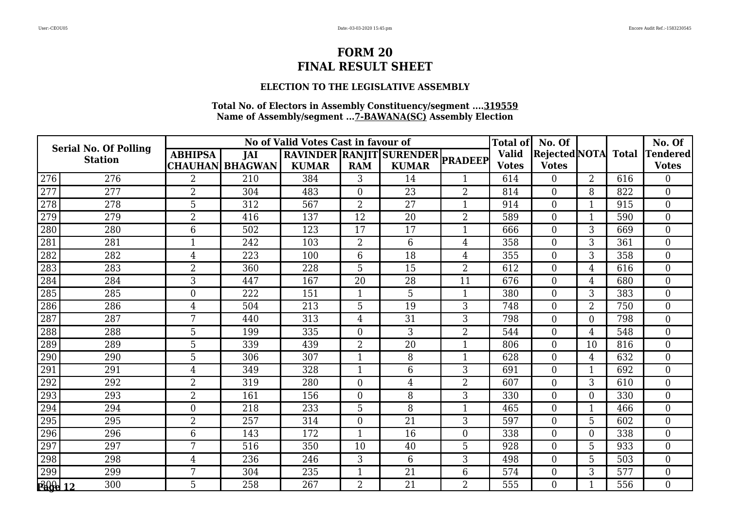### **ELECTION TO THE LEGISLATIVE ASSEMBLY**

|               | <b>Serial No. Of Polling</b> |                |                        | No of Valid Votes Cast in favour of |                |                                  |                | <b>Total of</b> | No. Of         |                |              | No. Of          |
|---------------|------------------------------|----------------|------------------------|-------------------------------------|----------------|----------------------------------|----------------|-----------------|----------------|----------------|--------------|-----------------|
|               | <b>Station</b>               | <b>ABHIPSA</b> | <b>JAI</b>             |                                     |                | RAVINDER RANJIT SURENDER PRADEEP |                | <b>Valid</b>    | Rejected NOTA  |                | <b>Total</b> | <b>Tendered</b> |
|               |                              |                | <b>CHAUHAN BHAGWAN</b> | <b>KUMAR</b>                        | <b>RAM</b>     | <b>KUMAR</b>                     |                | <b>Votes</b>    | <b>Votes</b>   |                |              | <b>Votes</b>    |
| 276           | 276                          | $\overline{2}$ | 210                    | 384                                 | 3              | 14                               |                | 614             | 0              | $\overline{2}$ | 616          | $\Omega$        |
| 277           | 277                          | $\overline{2}$ | 304                    | 483                                 | $\mathbf{0}$   | 23                               | $\overline{2}$ | 814             | $\overline{0}$ | 8              | 822          | $\overline{0}$  |
| 278           | 278                          | 5              | 312                    | 567                                 | $\overline{2}$ | 27                               | $\mathbf{1}$   | 914             | $\overline{0}$ | $\mathbf 1$    | 915          | $\theta$        |
| 279           | 279                          | $\overline{2}$ | 416                    | 137                                 | 12             | 20                               | $\overline{2}$ | 589             | $\overline{0}$ |                | 590          | $\mathbf{0}$    |
| 280           | 280                          | 6              | 502                    | 123                                 | 17             | 17                               | $\mathbf{1}$   | 666             | $\overline{0}$ | 3              | 669          | $\mathbf{0}$    |
| 281           | 281                          | 1              | 242                    | 103                                 | $\overline{2}$ | 6                                | $\overline{4}$ | 358             | $\overline{0}$ | 3              | 361          | $\theta$        |
| 282           | 282                          | 4              | 223                    | 100                                 | 6              | 18                               | 4              | 355             | $\overline{0}$ | 3              | 358          | $\overline{0}$  |
| 283           | 283                          | $\overline{2}$ | 360                    | 228                                 | 5              | 15                               | $\overline{2}$ | 612             | $\overline{0}$ | 4              | 616          | $\overline{0}$  |
| 284           | 284                          | 3              | 447                    | 167                                 | 20             | 28                               | 11             | 676             | $\overline{0}$ | 4              | 680          | $\theta$        |
| 285           | 285                          | $\overline{0}$ | 222                    | 151                                 | 1              | 5                                | $\mathbf 1$    | 380             | $\Omega$       | 3              | 383          | $\overline{0}$  |
| 286           | 286                          | $\overline{4}$ | 504                    | 213                                 | 5              | 19                               | 3              | 748             | $\overline{0}$ | $\overline{2}$ | 750          | $\overline{0}$  |
| 287           | 287                          | 7              | 440                    | 313                                 | $\overline{4}$ | 31                               | 3              | 798             | $\overline{0}$ | 0              | 798          | $\theta$        |
| 288           | 288                          | 5              | 199                    | 335                                 | $\overline{0}$ | 3                                | $\overline{2}$ | 544             | $\Omega$       | 4              | 548          | $\overline{0}$  |
| 289           | 289                          | 5              | 339                    | 439                                 | $\overline{2}$ | 20                               | $\mathbf{1}$   | 806             | $\overline{0}$ | 10             | 816          | $\mathbf{0}$    |
| 290           | 290                          | 5              | 306                    | 307                                 | 1              | 8                                | $\mathbf{1}$   | 628             | $\overline{0}$ | 4              | 632          | $\theta$        |
| 291           | 291                          | 4              | 349                    | 328                                 | 1              | 6                                | 3              | 691             | $\Omega$       |                | 692          | $\theta$        |
| 292           | 292                          | $\overline{2}$ | 319                    | 280                                 | $\mathbf{0}$   | 4                                | $\overline{2}$ | 607             | $\overline{0}$ | 3              | 610          | $\overline{0}$  |
| 293           | 293                          | $\overline{2}$ | 161                    | 156                                 | $\overline{0}$ | 8                                | 3              | 330             | $\overline{0}$ | $\Omega$       | 330          | $\overline{0}$  |
| 294           | 294                          | $\overline{0}$ | 218                    | 233                                 | 5              | 8                                | 1              | 465             | $\overline{0}$ | -1             | 466          | $\overline{0}$  |
| 295           | 295                          | $\overline{2}$ | 257                    | 314                                 | $\overline{0}$ | 21                               | 3              | 597             | $\overline{0}$ | 5              | 602          | $\overline{0}$  |
| 296           | 296                          | 6              | 143                    | 172                                 | 1              | 16                               | $\overline{0}$ | 338             | $\overline{0}$ | 0              | 338          | $\overline{0}$  |
| 297           | 297                          | 7              | 516                    | 350                                 | 10             | 40                               | 5              | 928             | $\overline{0}$ | 5              | 933          | $\overline{0}$  |
| 298           | 298                          | $\overline{4}$ | 236                    | 246                                 | 3              | 6                                | 3              | 498             | $\overline{0}$ | 5              | 503          | $\overline{0}$  |
| 299           | 299                          | 7              | 304                    | 235                                 | 1              | 21                               | 6              | 574             | $\overline{0}$ | 3              | 577          | $\overline{0}$  |
| $\frac{1}{2}$ | 300                          | 5              | 258                    | 267                                 | $\overline{2}$ | 21                               | 2              | 555             | $\overline{0}$ | -1             | 556          | $\overline{0}$  |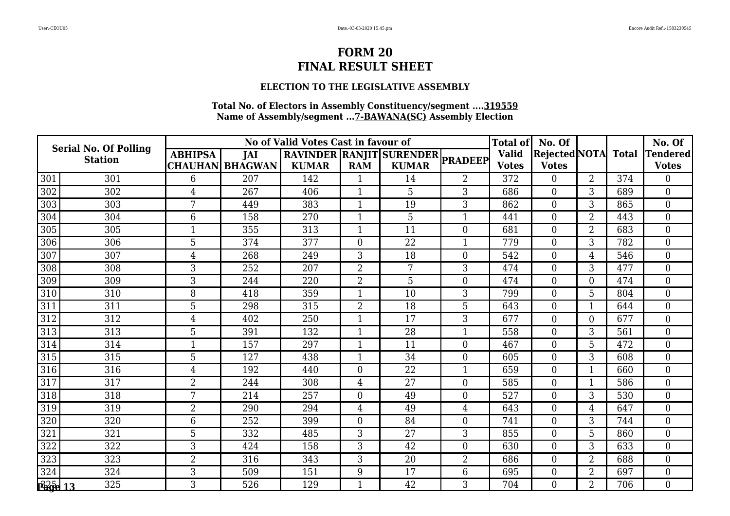### **ELECTION TO THE LEGISLATIVE ASSEMBLY**

| <b>Serial No. Of Polling</b><br><b>Station</b> |     | No of Valid Votes Cast in favour of<br>RAVINDER RANJIT SURENDER PRADEEP |                        |              |                |              |                  |              | No. Of         |                |              | No. Of          |
|------------------------------------------------|-----|-------------------------------------------------------------------------|------------------------|--------------|----------------|--------------|------------------|--------------|----------------|----------------|--------------|-----------------|
|                                                |     | <b>ABHIPSA</b>                                                          | <b>JAI</b>             |              |                |              | <b>Valid</b>     |              | Rejected NOTA  |                | <b>Total</b> | <b>Tendered</b> |
|                                                |     |                                                                         | <b>CHAUHAN BHAGWAN</b> | <b>KUMAR</b> | <b>RAM</b>     | <b>KUMAR</b> |                  | <b>Votes</b> | <b>Votes</b>   |                |              | <b>Votes</b>    |
| 301                                            | 301 | 6                                                                       | 207                    | 142          |                | 14           | 2                | 372          | 0              | $\overline{2}$ | 374          | $\Omega$        |
| 302                                            | 302 | $\overline{4}$                                                          | 267                    | 406          | 1              | 5            | 3                | 686          | $\overline{0}$ | 3              | 689          | $\overline{0}$  |
| 303                                            | 303 | 7                                                                       | 449                    | 383          | $\mathbf{1}$   | 19           | 3                | 862          | $\overline{0}$ | 3              | 865          | $\theta$        |
| 304                                            | 304 | 6                                                                       | 158                    | 270          | -1             | 5            | 1                | 441          | $\overline{0}$ | 2              | 443          | $\overline{0}$  |
| 305                                            | 305 | $\mathbf{1}$                                                            | 355                    | 313          | 1              | 11           | $\overline{0}$   | 681          | $\overline{0}$ | $\overline{2}$ | 683          | $\mathbf{0}$    |
| 306                                            | 306 | 5                                                                       | 374                    | 377          | $\theta$       | 22           | $\mathbf{1}$     | 779          | $\overline{0}$ | 3              | 782          | $\theta$        |
| 307                                            | 307 | 4                                                                       | 268                    | 249          | 3              | 18           | $\boldsymbol{0}$ | 542          | $\overline{0}$ | 4              | 546          | $\overline{0}$  |
| 308                                            | 308 | 3                                                                       | 252                    | 207          | $\overline{2}$ | 7            | 3                | 474          | $\Omega$       | 3              | 477          | $\overline{0}$  |
| 309                                            | 309 | 3                                                                       | 244                    | 220          | $\overline{2}$ | 5            | $\theta$         | 474          | $\Omega$       | 0              | 474          | $\theta$        |
| 310                                            | 310 | 8                                                                       | 418                    | 359          | -1             | 10           | 3                | 799          | $\Omega$       | 5              | 804          | $\theta$        |
| 311                                            | 311 | 5                                                                       | 298                    | 315          | $\overline{2}$ | 18           | 5                | 643          | $\overline{0}$ | $\mathbf{1}$   | 644          | $\mathbf{0}$    |
| 312                                            | 312 | 4                                                                       | 402                    | 250          | $\mathbf 1$    | 17           | 3                | 677          | $\overline{0}$ | 0              | 677          | $\theta$        |
| 313                                            | 313 | 5                                                                       | 391                    | 132          | $\mathbf 1$    | 28           | 1                | 558          | $\Omega$       | 3              | 561          | $\theta$        |
| 314                                            | 314 | $\mathbf{1}$                                                            | 157                    | 297          | $\mathbf{1}$   | 11           | $\overline{0}$   | 467          | $\overline{0}$ | 5              | 472          | $\mathbf{0}$    |
| 315                                            | 315 | 5                                                                       | 127                    | 438          | $\mathbf 1$    | 34           | $\Omega$         | 605          | $\overline{0}$ | 3              | 608          | $\theta$        |
| 316                                            | 316 | 4                                                                       | 192                    | 440          | $\overline{0}$ | 22           | 1                | 659          | $\Omega$       |                | 660          | $\theta$        |
| 317                                            | 317 | $\overline{2}$                                                          | 244                    | 308          | $\overline{4}$ | 27           | $\overline{0}$   | 585          | $\overline{0}$ |                | 586          | $\overline{0}$  |
| 318                                            | 318 | 7                                                                       | 214                    | 257          | $\overline{0}$ | 49           | $\overline{0}$   | 527          | $\overline{0}$ | 3              | 530          | $\overline{0}$  |
| 319                                            | 319 | $\overline{2}$                                                          | 290                    | 294          | $\overline{4}$ | 49           | $\overline{4}$   | 643          | $\overline{0}$ | 4              | 647          | $\overline{0}$  |
| 320                                            | 320 | 6                                                                       | 252                    | 399          | $\overline{0}$ | 84           | $\overline{0}$   | 741          | $\overline{0}$ | 3              | 744          | $\overline{0}$  |
| 321                                            | 321 | 5                                                                       | 332                    | 485          | 3              | 27           | 3                | 855          | $\overline{0}$ | 5              | 860          | $\overline{0}$  |
| 322                                            | 322 | 3                                                                       | 424                    | 158          | 3              | 42           | $\overline{0}$   | 630          | $\overline{0}$ | 3              | 633          | $\overline{0}$  |
| 323                                            | 323 | $\overline{2}$                                                          | 316                    | 343          | 3              | 20           | $\overline{2}$   | 686          | $\overline{0}$ | $\overline{2}$ | 688          | $\overline{0}$  |
| 324                                            | 324 | 3                                                                       | 509                    | 151          | 9              | 17           | 6                | 695          | $\overline{0}$ | 2              | 697          | $\overline{0}$  |
| $\mathbb{P}^2$ are 13                          | 325 | 3                                                                       | 526                    | 129          | $\mathbf 1$    | 42           | 3                | 704          | $\Omega$       | $\overline{2}$ | 706          | $\overline{0}$  |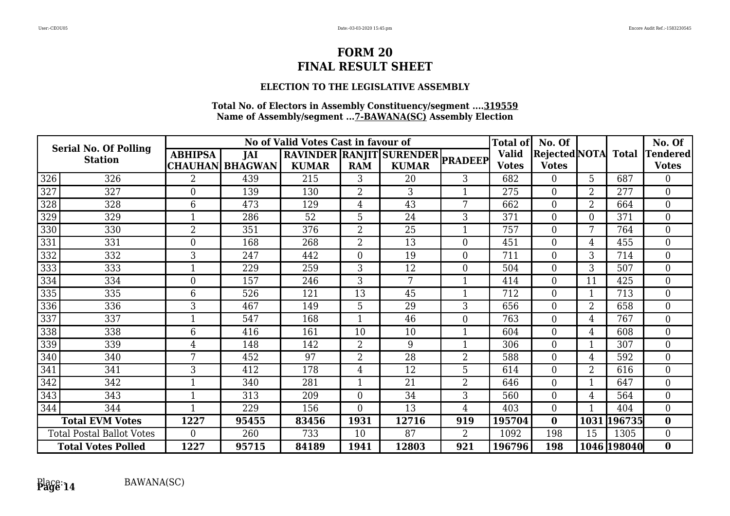### **ELECTION TO THE LEGISLATIVE ASSEMBLY**

| <b>Serial No. Of Polling</b><br><b>Station</b> |     | No of Valid Votes Cast in favour of<br>RAVINDER RANJIT SURENDER PRADEEP |                        |              |                |              |                |              | No. Of                     |                |             | No. Of         |
|------------------------------------------------|-----|-------------------------------------------------------------------------|------------------------|--------------|----------------|--------------|----------------|--------------|----------------------------|----------------|-------------|----------------|
|                                                |     | <b>ABHIPSA</b>                                                          | JAI                    |              |                |              |                | <b>Valid</b> | <b>Rejected</b> NOTA Total |                |             | Tendered       |
|                                                |     |                                                                         | <b>CHAUHAN BHAGWAN</b> | <b>KUMAR</b> | <b>RAM</b>     | <b>KUMAR</b> |                | <b>Votes</b> | <b>Votes</b>               |                |             | <b>Votes</b>   |
| 326                                            | 326 | $\overline{2}$                                                          | 439                    | 215          | 3              | 20           | 3              | 682          | $\overline{0}$             | 5              | 687         | $\Omega$       |
| 327                                            | 327 | $\overline{0}$                                                          | 139                    | 130          | $\overline{2}$ | 3            |                | 275          | $\Omega$                   | $\overline{2}$ | 277         | $\overline{0}$ |
| 328                                            | 328 | 6                                                                       | 473                    | 129          | 4              | 43           | 7              | 662          | $\Omega$                   | $\overline{2}$ | 664         | $\overline{0}$ |
| 329                                            | 329 |                                                                         | 286                    | 52           | 5              | 24           | 3              | 371          | $\Omega$                   | 0              | 371         | $\overline{0}$ |
| 330                                            | 330 | $\overline{2}$                                                          | 351                    | 376          | $\overline{2}$ | 25           |                | 757          | $\Omega$                   | 7              | 764         | $\overline{0}$ |
| $\overline{331}$                               | 331 | $\overline{0}$                                                          | 168                    | 268          | $\overline{2}$ | 13           | $\overline{0}$ | 451          | 0                          | 4              | 455         | $\overline{0}$ |
| 332                                            | 332 | 3                                                                       | 247                    | 442          | $\overline{0}$ | 19           | $\overline{0}$ | 711          | $\Omega$                   | 3              | 714         | $\overline{0}$ |
| 333                                            | 333 |                                                                         | 229                    | 259          | 3              | 12           | $\overline{0}$ | 504          | 0                          | 3              | 507         | $\overline{0}$ |
| 334                                            | 334 | $\boldsymbol{0}$                                                        | 157                    | 246          | 3              | 7            |                | 414          | $\overline{0}$             | 11             | 425         | $\overline{0}$ |
| 335                                            | 335 | 6                                                                       | 526                    | 121          | 13             | 45           |                | 712          | $\overline{0}$             |                | 713         | $\overline{0}$ |
| $\overline{336}$                               | 336 | 3                                                                       | 467                    | 149          | 5              | 29           | 3              | 656          | $\Omega$                   | 2              | 658         | $\overline{0}$ |
| 337                                            | 337 |                                                                         | 547                    | 168          |                | 46           | $\overline{0}$ | 763          | 0                          | 4              | 767         | $\overline{0}$ |
| 338                                            | 338 | 6                                                                       | 416                    | 161          | 10             | 10           |                | 604          | $\Omega$                   | 4              | 608         | $\overline{0}$ |
| 339                                            | 339 | 4                                                                       | 148                    | 142          | $\overline{2}$ | 9            |                | 306          | $\Omega$                   |                | 307         | $\overline{0}$ |
| 340                                            | 340 | 7                                                                       | 452                    | 97           | $\overline{2}$ | 28           | $\overline{2}$ | 588          | $\Omega$                   | 4              | 592         | $\overline{0}$ |
| 341                                            | 341 | 3                                                                       | 412                    | 178          | 4              | 12           | 5              | 614          | $\Omega$                   | $\overline{2}$ | 616         | $\overline{0}$ |
| 342                                            | 342 |                                                                         | 340                    | 281          | $\mathbf 1$    | 21           | $\overline{2}$ | 646          | $\overline{0}$             |                | 647         | $\overline{0}$ |
| 343                                            | 343 |                                                                         | 313                    | 209          | $\overline{0}$ | 34           | 3              | 560          | $\Omega$                   | 4              | 564         | $\overline{0}$ |
| 344                                            | 344 | $\mathbf{1}$                                                            | 229                    | 156          | $\overline{0}$ | 13           | $\overline{4}$ | 403          | $\overline{0}$             |                | 404         | $\overline{0}$ |
| <b>Total EVM Votes</b>                         |     | 1227                                                                    | 95455                  | 83456        | 1931           | 12716        | 919            | 195704       | $\bf{0}$                   | 1031           | 196735      | $\bf{0}$       |
| <b>Total Postal Ballot Votes</b>               |     | $\overline{0}$                                                          | 260                    | 733          | 10             | 87           | $\overline{2}$ | 1092         | 198                        | 15             | 1305        | $\overline{0}$ |
| <b>Total Votes Polled</b>                      |     | 1227                                                                    | 95715                  | 84189        | 1941           | 12803        | 921            | 196796       | 198                        |                | 1046 198040 | $\bf{0}$       |